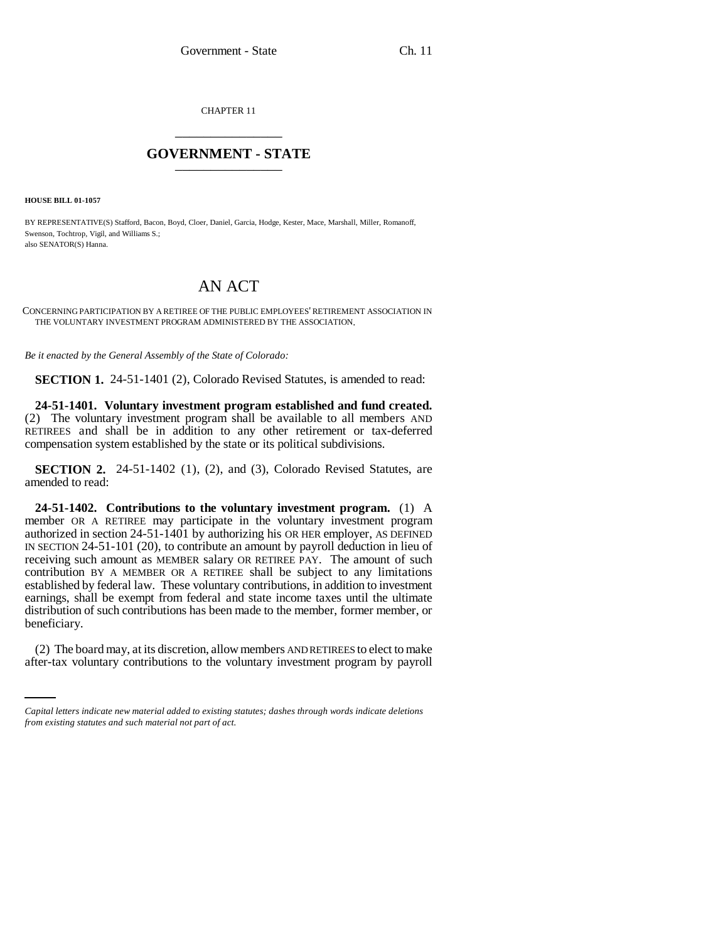CHAPTER 11 \_\_\_\_\_\_\_\_\_\_\_\_\_\_\_

## **GOVERNMENT - STATE** \_\_\_\_\_\_\_\_\_\_\_\_\_\_\_

**HOUSE BILL 01-1057**

BY REPRESENTATIVE(S) Stafford, Bacon, Boyd, Cloer, Daniel, Garcia, Hodge, Kester, Mace, Marshall, Miller, Romanoff, Swenson, Tochtrop, Vigil, and Williams S.; also SENATOR(S) Hanna.

## AN ACT

CONCERNING PARTICIPATION BY A RETIREE OF THE PUBLIC EMPLOYEES' RETIREMENT ASSOCIATION IN THE VOLUNTARY INVESTMENT PROGRAM ADMINISTERED BY THE ASSOCIATION.

*Be it enacted by the General Assembly of the State of Colorado:*

**SECTION 1.** 24-51-1401 (2), Colorado Revised Statutes, is amended to read:

**24-51-1401. Voluntary investment program established and fund created.** (2) The voluntary investment program shall be available to all members AND RETIREES and shall be in addition to any other retirement or tax-deferred compensation system established by the state or its political subdivisions.

**SECTION 2.** 24-51-1402 (1), (2), and (3), Colorado Revised Statutes, are amended to read:

**24-51-1402. Contributions to the voluntary investment program.** (1) A member OR A RETIREE may participate in the voluntary investment program authorized in section 24-51-1401 by authorizing his OR HER employer, AS DEFINED IN SECTION 24-51-101 (20), to contribute an amount by payroll deduction in lieu of receiving such amount as MEMBER salary OR RETIREE PAY. The amount of such contribution BY A MEMBER OR A RETIREE shall be subject to any limitations established by federal law. These voluntary contributions, in addition to investment earnings, shall be exempt from federal and state income taxes until the ultimate distribution of such contributions has been made to the member, former member, or beneficiary.

(2) The board may, at its discretion, allow members AND RETIREES to elect to make after-tax voluntary contributions to the voluntary investment program by payroll

*Capital letters indicate new material added to existing statutes; dashes through words indicate deletions from existing statutes and such material not part of act.*